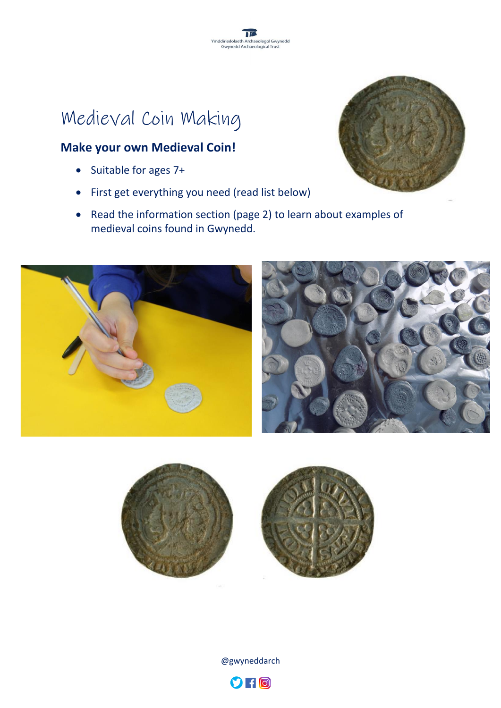# Medieval Coin Making

#### **Make your own Medieval Coin!**

- Suitable for ages 7+
- First get everything you need (read list below)
- Read the information section (page 2) to learn about examples of medieval coins found in Gwynedd.











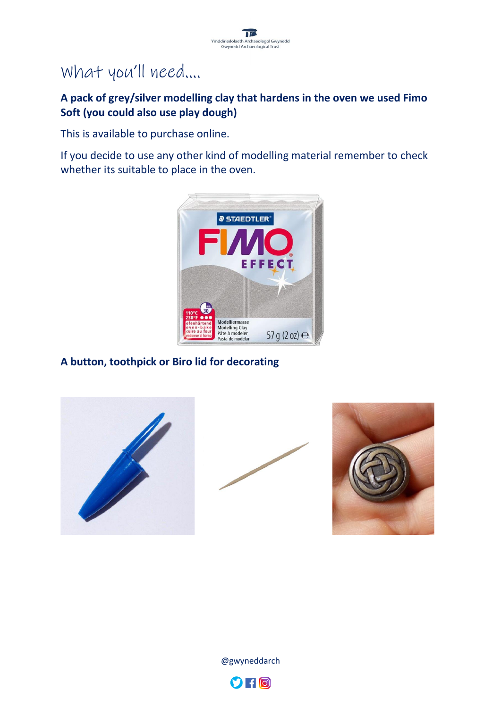

### What you'll need….

#### **A pack of grey/silver modelling clay that hardens in the oven we used Fimo Soft (you could also use play dough)**

This is available to purchase online.

If you decide to use any other kind of modelling material remember to check whether its suitable to place in the oven.



#### **A button, toothpick or Biro lid for decorating**









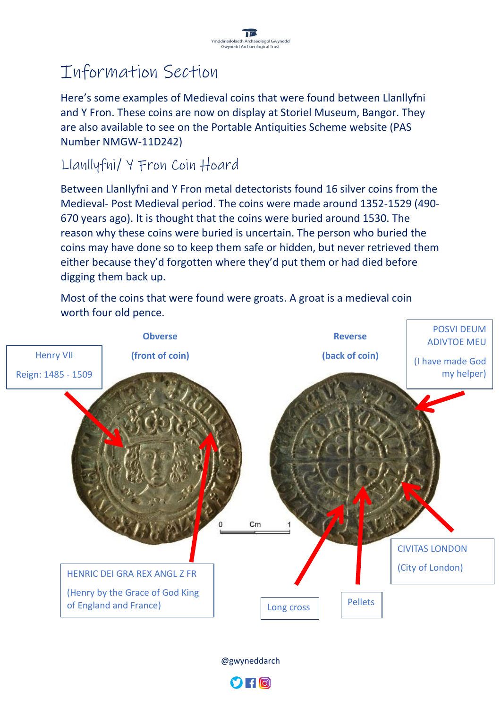## Information Section

Here's some examples of Medieval coins that were found between Llanllyfni and Y Fron. These coins are now on display at Storiel Museum, Bangor. They are also available to see on the Portable Antiquities Scheme website (PAS Number NMGW-11D242)

### Llanllyfni/ Y Fron Coin Hoard

Between Llanllyfni and Y Fron metal detectorists found 16 silver coins from the Medieval- Post Medieval period. The coins were made around 1352-1529 (490- 670 years ago). It is thought that the coins were buried around 1530. The reason why these coins were buried is uncertain. The person who buried the coins may have done so to keep them safe or hidden, but never retrieved them either because they'd forgotten where they'd put them or had died before digging them back up.

Most of the coins that were found were groats. A groat is a medieval coin worth four old pence.



@gwyneddarch

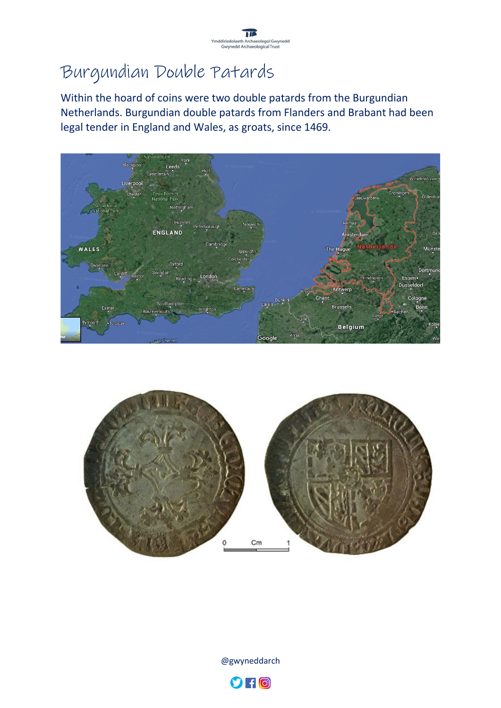

## Burgundian Double Patards

Within the hoard of coins were two double patards from the Burgundian Netherlands. Burgundian double patards from Flanders and Brabant had been legal tender in England and Wales, as groats, since 1469.







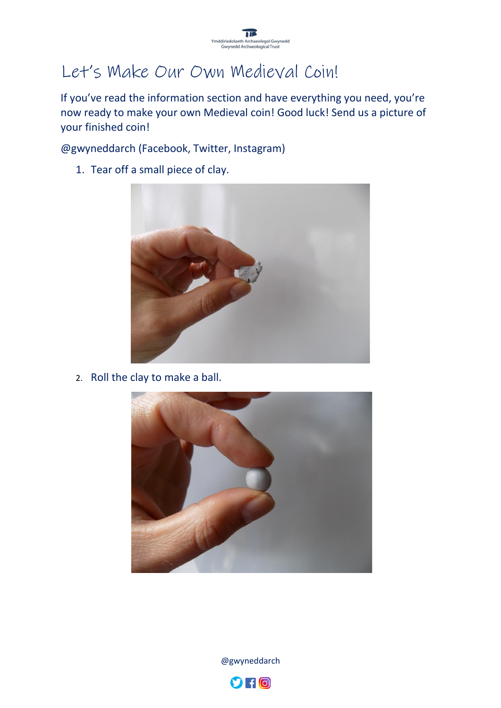

## Let's Make Our Own Medieval Coin!

If you've read the information section and have everything you need, you're now ready to make your own Medieval coin! Good luck! Send us a picture of your finished coin!

@gwyneddarch (Facebook, Twitter, Instagram)

1. Tear off a small piece of clay.



2. Roll the clay to make a ball.



@gwyneddarch

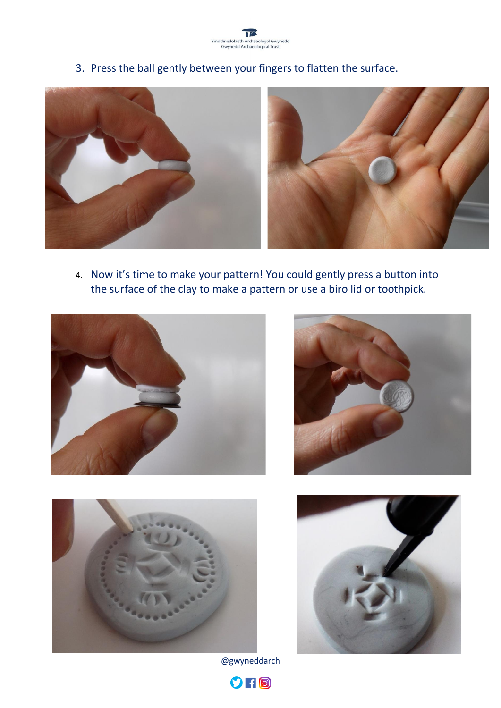

3. Press the ball gently between your fingers to flatten the surface.



4. Now it's time to make your pattern! You could gently press a button into the surface of the clay to make a pattern or use a biro lid or toothpick.









@gwyneddarch